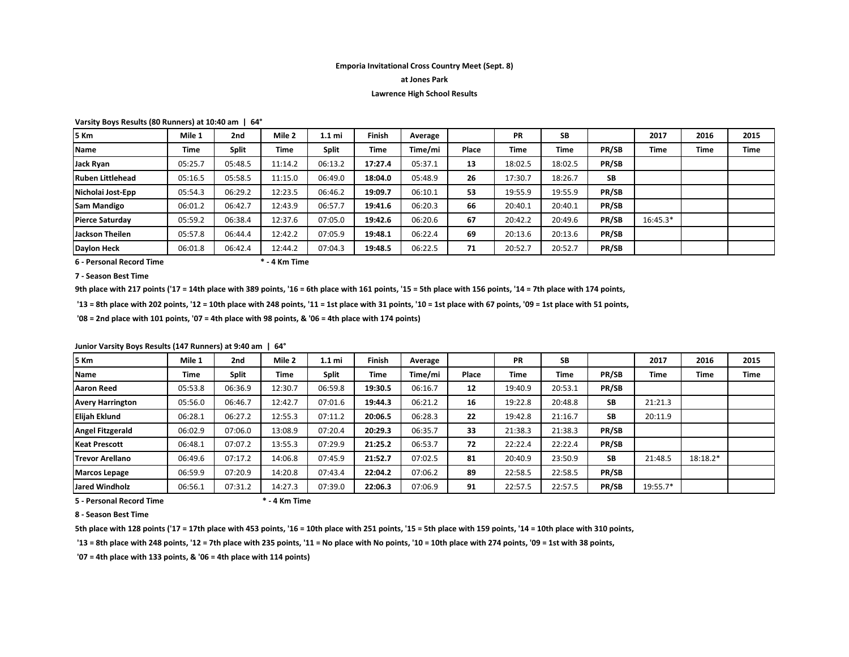# **Emporia Invitational Cross Country Meet (Sept. 8)**

### **at Jones Park**

#### **Lawrence High School Results**

**Varsity Boys Results (80 Runners) at 10:40 am | 64°**

| 5 Km               | Mile 1  | 2 <sub>nd</sub> | Mile 2  | 1.1 mi       | Finish  | Average |       | <b>PR</b> | SB      |       | 2017       | 2016 | 2015        |
|--------------------|---------|-----------------|---------|--------------|---------|---------|-------|-----------|---------|-------|------------|------|-------------|
| <b>Name</b>        | Time    | <b>Split</b>    | Time    | <b>Split</b> | Time    | Time/mi | Place | Time      | Time    | PR/SB | Time       | Time | <b>Time</b> |
| Jack Ryan          | 05:25.7 | 05:48.5         | 11:14.2 | 06:13.2      | 17:27.4 | 05:37.1 | 13    | 18:02.5   | 18:02.5 | PR/SB |            |      |             |
| Ruben Littlehead   | 05:16.5 | 05:58.5         | 11:15.0 | 06:49.0      | 18:04.0 | 05:48.9 | 26    | 17:30.7   | 18:26.7 | SB    |            |      |             |
| Nicholai Jost-Epp  | 05:54.3 | 06:29.2         | 12:23.5 | 06:46.2      | 19:09.7 | 06:10.1 | 53    | 19:55.9   | 19:55.9 | PR/SB |            |      |             |
| <b>Sam Mandigo</b> | 06:01.2 | 06:42.7         | 12:43.9 | 06:57.7      | 19:41.6 | 06:20.3 | 66    | 20:40.1   | 20:40.1 | PR/SB |            |      |             |
| Pierce Saturdav    | 05:59.2 | 06:38.4         | 12:37.6 | 07:05.0      | 19:42.6 | 06:20.6 | 67    | 20:42.2   | 20:49.6 | PR/SB | $16:45.3*$ |      |             |
| Jackson Theilen    | 05:57.8 | 06:44.4         | 12:42.2 | 07:05.9      | 19:48.1 | 06:22.4 | 69    | 20:13.6   | 20:13.6 | PR/SB |            |      |             |
| Daylon Heck        | 06:01.8 | 06:42.4         | 12:44.2 | 07:04.3      | 19:48.5 | 06:22.5 | 71    | 20:52.7   | 20:52.7 | PR/SB |            |      |             |

**6 - Personal Record Time \* - 4 Km Time**

**7 - Season Best Time**

**9th place with 217 points ('17 = 14th place with 389 points, '16 = 6th place with 161 points, '15 = 5th place with 156 points, '14 = 7th place with 174 points,**

 **'13 = 8th place with 202 points, '12 = 10th place with 248 points, '11 = 1st place with 31 points, '10 = 1st place with 67 points, '09 = 1st place with 51 points,**

 **'08 = 2nd place with 101 points, '07 = 4th place with 98 points, & '06 = 4th place with 174 points)**

**Junior Varsity Boys Results (147 Runners) at 9:40 am | 64°**

| 5 Km                    | Mile 1  | 2 <sub>nd</sub> | Mile 2  | 1.1 mi  | Finish  | Average |       | <b>PR</b> | SB      |           | 2017     | 2016        | 2015 |
|-------------------------|---------|-----------------|---------|---------|---------|---------|-------|-----------|---------|-----------|----------|-------------|------|
| <b>Name</b>             | Time    | <b>Split</b>    | Time    | Split   | Time    | Time/mi | Place | Time      | Time    | PR/SB     | Time     | <b>Time</b> | Time |
| Aaron Reed              | 05:53.8 | 06:36.9         | 12:30.7 | 06:59.8 | 19:30.5 | 06:16.7 | 12    | 19:40.9   | 20:53.1 | PR/SB     |          |             |      |
| <b>Avery Harrington</b> | 05:56.0 | 06:46.7         | 12:42.7 | 07:01.6 | 19:44.3 | 06:21.2 | 16    | 19:22.8   | 20:48.8 | <b>SB</b> | 21:21.3  |             |      |
| Elijah Eklund           | 06:28.1 | 06:27.2         | 12:55.3 | 07:11.2 | 20:06.5 | 06:28.3 | 22    | 19:42.8   | 21:16.7 | SB        | 20:11.9  |             |      |
| <b>Angel Fitzgerald</b> | 06:02.9 | 07:06.0         | 13:08.9 | 07:20.4 | 20:29.3 | 06:35.7 | 33    | 21:38.3   | 21:38.3 | PR/SB     |          |             |      |
| <b>Keat Prescott</b>    | 06:48.1 | 07:07.2         | 13:55.3 | 07:29.9 | 21:25.2 | 06:53.7 | 72    | 22:22.4   | 22:22.4 | PR/SB     |          |             |      |
| <b>Trevor Arellano</b>  | 06:49.6 | 07:17.2         | 14:06.8 | 07:45.9 | 21:52.7 | 07:02.5 | 81    | 20:40.9   | 23:50.9 | <b>SB</b> | 21:48.5  | $18:18.2*$  |      |
| <b>Marcos Lepage</b>    | 06:59.9 | 07:20.9         | 14:20.8 | 07:43.4 | 22:04.2 | 07:06.2 | 89    | 22:58.5   | 22:58.5 | PR/SB     |          |             |      |
| <b>Jared Windholz</b>   | 06:56.1 | 07:31.2         | 14:27.3 | 07:39.0 | 22:06.3 | 07:06.9 | 91    | 22:57.5   | 22:57.5 | PR/SB     | 19:55.7* |             |      |

**5 - Personal Record Time \* - 4 Km Time**

**8 - Season Best Time**

**5th place with 128 points ('17 = 17th place with 453 points, '16 = 10th place with 251 points, '15 = 5th place with 159 points, '14 = 10th place with 310 points,**

**'13 = 8th place with 248 points, '12 = 7th place with 235 points, '11 = No place with No points, '10 = 10th place with 274 points, '09 = 1st with 38 points,** 

 **'07 = 4th place with 133 points, & '06 = 4th place with 114 points)**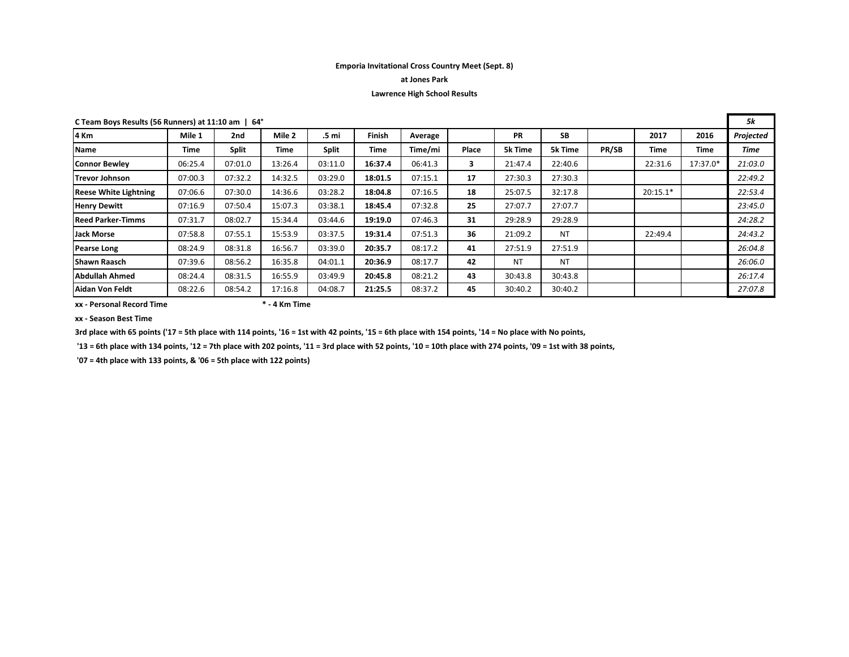## **Emporia Invitational Cross Country Meet (Sept. 8)**

# **at Jones Park**

# **Lawrence High School Results**

| C Team Boys Results (56 Runners) at 11:10 am   64° |         |              |         |              |               |         |       |                |           |       | 5k         |          |           |
|----------------------------------------------------|---------|--------------|---------|--------------|---------------|---------|-------|----------------|-----------|-------|------------|----------|-----------|
| 4 Km                                               | Mile 1  | 2nd          | Mile 2  | .5 mi        | <b>Finish</b> | Average |       | <b>PR</b>      | <b>SB</b> |       | 2017       | 2016     | Projected |
| <b>Name</b>                                        | Time    | <b>Split</b> | Time    | <b>Split</b> | Time          | Time/mi | Place | <b>5k Time</b> | 5k Time   | PR/SB | Time       | Time     | Time      |
| Connor Bewlev                                      | 06:25.4 | 07:01.0      | 13:26.4 | 03:11.0      | 16:37.4       | 06:41.3 | 3     | 21:47.4        | 22:40.6   |       | 22:31.6    | 17:37.0* | 21:03.0   |
| <b>Trevor Johnson</b>                              | 07:00.3 | 07:32.2      | 14:32.5 | 03:29.0      | 18:01.5       | 07:15.1 | 17    | 27:30.3        | 27:30.3   |       |            |          | 22:49.2   |
| <b>Reese White Lightning</b>                       | 07:06.6 | 07:30.0      | 14:36.6 | 03:28.2      | 18:04.8       | 07:16.5 | 18    | 25:07.5        | 32:17.8   |       | $20:15.1*$ |          | 22:53.4   |
| <b>Henry Dewitt</b>                                | 07:16.9 | 07:50.4      | 15:07.3 | 03:38.1      | 18:45.4       | 07:32.8 | 25    | 27:07.7        | 27:07.7   |       |            |          | 23:45.0   |
| <b>Reed Parker-Timms</b>                           | 07:31.7 | 08:02.7      | 15:34.4 | 03:44.6      | 19:19.0       | 07:46.3 | 31    | 29:28.9        | 29:28.9   |       |            |          | 24:28.2   |
| <b>Jack Morse</b>                                  | 07:58.8 | 07:55.1      | 15:53.9 | 03:37.5      | 19:31.4       | 07:51.3 | 36    | 21:09.2        | <b>NT</b> |       | 22:49.4    |          | 24:43.2   |
| <b>Pearse Long</b>                                 | 08:24.9 | 08:31.8      | 16:56.7 | 03:39.0      | 20:35.7       | 08:17.2 | 41    | 27:51.9        | 27:51.9   |       |            |          | 26:04.8   |
| <b>Shawn Raasch</b>                                | 07:39.6 | 08:56.2      | 16:35.8 | 04:01.1      | 20:36.9       | 08:17.7 | 42    | <b>NT</b>      | <b>NT</b> |       |            |          | 26:06.0   |
| Abdullah Ahmed                                     | 08:24.4 | 08:31.5      | 16:55.9 | 03:49.9      | 20:45.8       | 08:21.2 | 43    | 30:43.8        | 30:43.8   |       |            |          | 26:17.4   |
| Aidan Von Feldt                                    | 08:22.6 | 08:54.2      | 17:16.8 | 04:08.7      | 21:25.5       | 08:37.2 | 45    | 30:40.2        | 30:40.2   |       |            |          | 27:07.8   |

**xx - Personal Record Time \* - 4 Km Time**

**xx - Season Best Time**

**3rd place with 65 points ('17 = 5th place with 114 points, '16 = 1st with 42 points, '15 = 6th place with 154 points, '14 = No place with No points,**

**'13 = 6th place with 134 points, '12 = 7th place with 202 points, '11 = 3rd place with 52 points, '10 = 10th place with 274 points, '09 = 1st with 38 points,**

 **'07 = 4th place with 133 points, & '06 = 5th place with 122 points)**